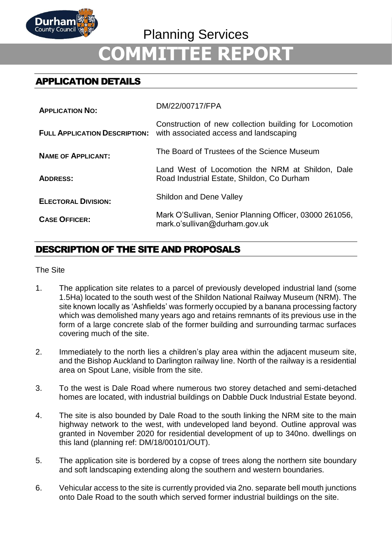

# **COMMITTEE REPORT**

# APPLICATION DETAILS

| <b>APPLICATION NO:</b>     | DM/22/00717/FPA                                                                                                                       |
|----------------------------|---------------------------------------------------------------------------------------------------------------------------------------|
|                            | Construction of new collection building for Locomotion<br><b>FULL APPLICATION DESCRIPTION:</b> with associated access and landscaping |
| <b>NAME OF APPLICANT:</b>  | The Board of Trustees of the Science Museum                                                                                           |
| <b>ADDRESS:</b>            | Land West of Locomotion the NRM at Shildon, Dale<br>Road Industrial Estate, Shildon, Co Durham                                        |
| <b>ELECTORAL DIVISION:</b> | <b>Shildon and Dene Valley</b>                                                                                                        |
| <b>CASE OFFICER:</b>       | Mark O'Sullivan, Senior Planning Officer, 03000 261056,<br>mark.o'sullivan@durham.gov.uk                                              |

# DESCRIPTION OF THE SITE AND PROPOSALS

#### The Site

- 1. The application site relates to a parcel of previously developed industrial land (some 1.5Ha) located to the south west of the Shildon National Railway Museum (NRM). The site known locally as 'Ashfields' was formerly occupied by a banana processing factory which was demolished many years ago and retains remnants of its previous use in the form of a large concrete slab of the former building and surrounding tarmac surfaces covering much of the site.
- 2. Immediately to the north lies a children's play area within the adjacent museum site, and the Bishop Auckland to Darlington railway line. North of the railway is a residential area on Spout Lane, visible from the site.
- 3. To the west is Dale Road where numerous two storey detached and semi-detached homes are located, with industrial buildings on Dabble Duck Industrial Estate beyond.
- 4. The site is also bounded by Dale Road to the south linking the NRM site to the main highway network to the west, with undeveloped land beyond. Outline approval was granted in November 2020 for residential development of up to 340no. dwellings on this land (planning ref: DM/18/00101/OUT).
- 5. The application site is bordered by a copse of trees along the northern site boundary and soft landscaping extending along the southern and western boundaries.
- 6. Vehicular access to the site is currently provided via 2no. separate bell mouth junctions onto Dale Road to the south which served former industrial buildings on the site.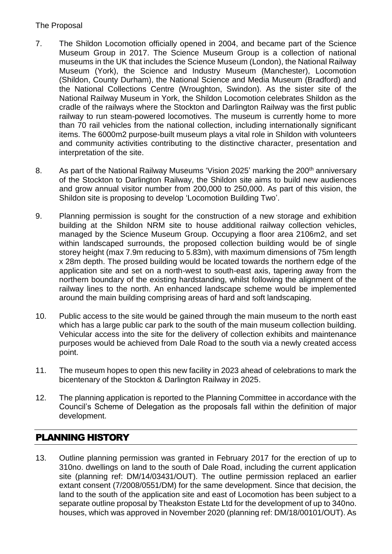### The Proposal

- 7. The Shildon Locomotion officially opened in 2004, and became part of the Science Museum Group in 2017. The Science Museum Group is a collection of national museums in the UK that includes the Science Museum (London), the National Railway Museum (York), the Science and Industry Museum (Manchester), Locomotion (Shildon, County Durham), the National Science and Media Museum (Bradford) and the National Collections Centre (Wroughton, Swindon). As the sister site of the National Railway Museum in York, the Shildon Locomotion celebrates Shildon as the cradle of the railways where the Stockton and Darlington Railway was the first public railway to run steam-powered locomotives. The museum is currently home to more than 70 rail vehicles from the national collection, including internationally significant items. The 6000m2 purpose-built museum plays a vital role in Shildon with volunteers and community activities contributing to the distinctive character, presentation and interpretation of the site.
- 8. As part of the National Railway Museums 'Vision 2025' marking the 200<sup>th</sup> anniversary of the Stockton to Darlington Railway, the Shildon site aims to build new audiences and grow annual visitor number from 200,000 to 250,000. As part of this vision, the Shildon site is proposing to develop 'Locomotion Building Two'.
- 9. Planning permission is sought for the construction of a new storage and exhibition building at the Shildon NRM site to house additional railway collection vehicles, managed by the Science Museum Group. Occupying a floor area 2106m2, and set within landscaped surrounds, the proposed collection building would be of single storey height (max 7.9m reducing to 5.83m), with maximum dimensions of 75m length x 28m depth. The prosed building would be located towards the northern edge of the application site and set on a north-west to south-east axis, tapering away from the northern boundary of the existing hardstanding, whilst following the alignment of the railway lines to the north. An enhanced landscape scheme would be implemented around the main building comprising areas of hard and soft landscaping.
- 10. Public access to the site would be gained through the main museum to the north east which has a large public car park to the south of the main museum collection building. Vehicular access into the site for the delivery of collection exhibits and maintenance purposes would be achieved from Dale Road to the south via a newly created access point.
- 11. The museum hopes to open this new facility in 2023 ahead of celebrations to mark the bicentenary of the Stockton & Darlington Railway in 2025.
- 12. The planning application is reported to the Planning Committee in accordance with the Council's Scheme of Delegation as the proposals fall within the definition of major development.

# PLANNING HISTORY

13. Outline planning permission was granted in February 2017 for the erection of up to 310no. dwellings on land to the south of Dale Road, including the current application site (planning ref: DM/14/03431/OUT). The outline permission replaced an earlier extant consent (7/2008/0551/DM) for the same development. Since that decision, the land to the south of the application site and east of Locomotion has been subject to a separate outline proposal by Theakston Estate Ltd for the development of up to 340no. houses, which was approved in November 2020 (planning ref: DM/18/00101/OUT). As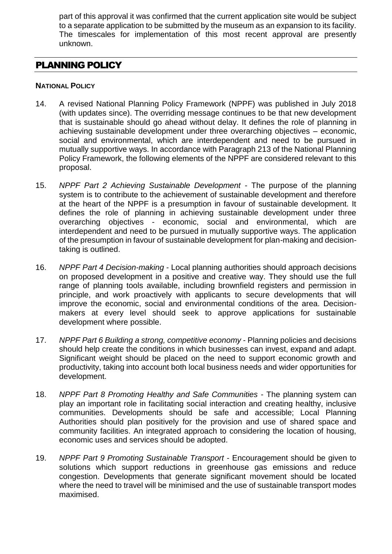part of this approval it was confirmed that the current application site would be subject to a separate application to be submitted by the museum as an expansion to its facility. The timescales for implementation of this most recent approval are presently unknown.

# PLANNING POLICY

#### **NATIONAL POLICY**

- 14. A revised National Planning Policy Framework (NPPF) was published in July 2018 (with updates since). The overriding message continues to be that new development that is sustainable should go ahead without delay. It defines the role of planning in achieving sustainable development under three overarching objectives – economic, social and environmental, which are interdependent and need to be pursued in mutually supportive ways. In accordance with Paragraph 213 of the National Planning Policy Framework, the following elements of the NPPF are considered relevant to this proposal.
- 15. *NPPF Part 2 Achieving Sustainable Development* The purpose of the planning system is to contribute to the achievement of sustainable development and therefore at the heart of the NPPF is a presumption in favour of sustainable development. It defines the role of planning in achieving sustainable development under three overarching objectives - economic, social and environmental, which are interdependent and need to be pursued in mutually supportive ways. The application of the presumption in favour of sustainable development for plan-making and decisiontaking is outlined.
- 16. *NPPF Part 4 Decision-making* Local planning authorities should approach decisions on proposed development in a positive and creative way. They should use the full range of planning tools available, including brownfield registers and permission in principle, and work proactively with applicants to secure developments that will improve the economic, social and environmental conditions of the area. Decisionmakers at every level should seek to approve applications for sustainable development where possible.
- 17. *NPPF Part 6 Building a strong, competitive economy* Planning policies and decisions should help create the conditions in which businesses can invest, expand and adapt. Significant weight should be placed on the need to support economic growth and productivity, taking into account both local business needs and wider opportunities for development.
- 18. *NPPF Part 8 Promoting Healthy and Safe Communities* The planning system can play an important role in facilitating social interaction and creating healthy, inclusive communities. Developments should be safe and accessible; Local Planning Authorities should plan positively for the provision and use of shared space and community facilities. An integrated approach to considering the location of housing, economic uses and services should be adopted.
- 19. *NPPF Part 9 Promoting Sustainable Transport* Encouragement should be given to solutions which support reductions in greenhouse gas emissions and reduce congestion. Developments that generate significant movement should be located where the need to travel will be minimised and the use of sustainable transport modes maximised.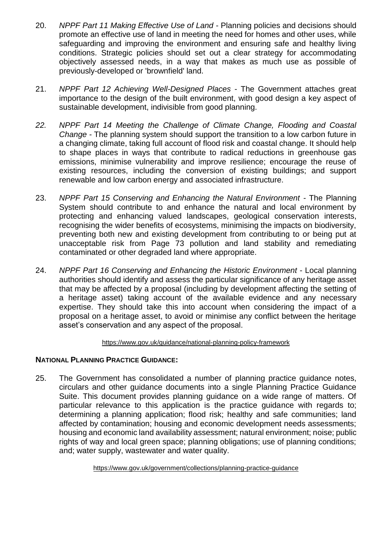- 20. *NPPF Part 11 Making Effective Use of Land* Planning policies and decisions should promote an effective use of land in meeting the need for homes and other uses, while safeguarding and improving the environment and ensuring safe and healthy living conditions. Strategic policies should set out a clear strategy for accommodating objectively assessed needs, in a way that makes as much use as possible of previously-developed or 'brownfield' land.
- 21. *NPPF Part 12 Achieving Well-Designed Places* The Government attaches great importance to the design of the built environment, with good design a key aspect of sustainable development, indivisible from good planning.
- *22. NPPF Part 14 Meeting the Challenge of Climate Change, Flooding and Coastal Change* - The planning system should support the transition to a low carbon future in a changing climate, taking full account of flood risk and coastal change. It should help to shape places in ways that contribute to radical reductions in greenhouse gas emissions, minimise vulnerability and improve resilience; encourage the reuse of existing resources, including the conversion of existing buildings; and support renewable and low carbon energy and associated infrastructure.
- 23. *NPPF Part 15 Conserving and Enhancing the Natural Environment -* The Planning System should contribute to and enhance the natural and local environment by protecting and enhancing valued landscapes, geological conservation interests, recognising the wider benefits of ecosystems, minimising the impacts on biodiversity, preventing both new and existing development from contributing to or being put at unacceptable risk from Page 73 pollution and land stability and remediating contaminated or other degraded land where appropriate.
- 24. *NPPF Part 16 Conserving and Enhancing the Historic Environment* Local planning authorities should identify and assess the particular significance of any heritage asset that may be affected by a proposal (including by development affecting the setting of a heritage asset) taking account of the available evidence and any necessary expertise. They should take this into account when considering the impact of a proposal on a heritage asset, to avoid or minimise any conflict between the heritage asset's conservation and any aspect of the proposal.

#### <https://www.gov.uk/guidance/national-planning-policy-framework>

#### **NATIONAL PLANNING PRACTICE GUIDANCE:**

25. The Government has consolidated a number of planning practice guidance notes, circulars and other guidance documents into a single Planning Practice Guidance Suite. This document provides planning guidance on a wide range of matters. Of particular relevance to this application is the practice guidance with regards to; determining a planning application; flood risk; healthy and safe communities; land affected by contamination; housing and economic development needs assessments; housing and economic land availability assessment; natural environment; noise; public rights of way and local green space; planning obligations; use of planning conditions; and; water supply, wastewater and water quality.

<https://www.gov.uk/government/collections/planning-practice-guidance>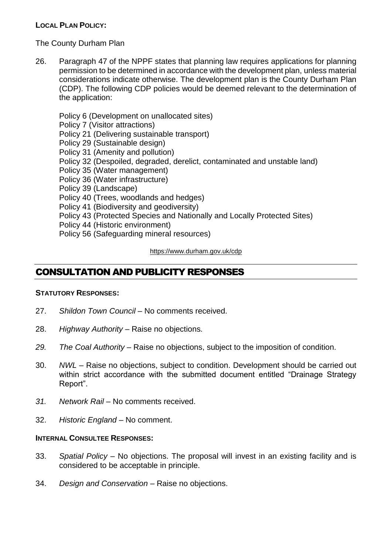#### **LOCAL PLAN POLICY:**

#### The County Durham Plan

26. Paragraph 47 of the NPPF states that planning law requires applications for planning permission to be determined in accordance with the development plan, unless material considerations indicate otherwise. The development plan is the County Durham Plan (CDP). The following CDP policies would be deemed relevant to the determination of the application:

Policy 6 (Development on unallocated sites) Policy 7 (Visitor attractions) Policy 21 (Delivering sustainable transport) Policy 29 (Sustainable design) Policy 31 (Amenity and pollution) Policy 32 (Despoiled, degraded, derelict, contaminated and unstable land) Policy 35 (Water management) Policy 36 (Water infrastructure) Policy 39 (Landscape) Policy 40 (Trees, woodlands and hedges) Policy 41 (Biodiversity and geodiversity) Policy 43 (Protected Species and Nationally and Locally Protected Sites)

- Policy 44 (Historic environment)
- Policy 56 (Safeguarding mineral resources)

<https://www.durham.gov.uk/cdp>

## CONSULTATION AND PUBLICITY RESPONSES

#### **STATUTORY RESPONSES:**

- 27. *Shildon Town Council –* No comments received.
- 28. *Highway Authority* Raise no objections.
- *29. The Coal Authority –* Raise no objections, subject to the imposition of condition.
- 30. *NWL –* Raise no objections, subject to condition. Development should be carried out within strict accordance with the submitted document entitled "Drainage Strategy Report".
- *31. Network Rail –* No comments received.
- 32. *Historic England –* No comment.

#### **INTERNAL CONSULTEE RESPONSES:**

- 33. *Spatial Policy –* No objections. The proposal will invest in an existing facility and is considered to be acceptable in principle.
- 34. *Design and Conservation* Raise no objections.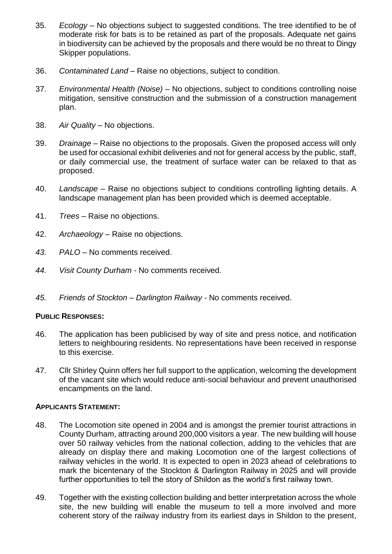- 35. *Ecology*  No objections subject to suggested conditions. The tree identified to be of moderate risk for bats is to be retained as part of the proposals. Adequate net gains in biodiversity can be achieved by the proposals and there would be no threat to Dingy Skipper populations.
- 36. *Contaminated Land* Raise no objections, subject to condition.
- 37. *Environmental Health (Noise) –* No objections, subject to conditions controlling noise mitigation, sensitive construction and the submission of a construction management plan.
- 38. *Air Quality* No objections.
- 39. *Drainage* Raise no objections to the proposals. Given the proposed access will only be used for occasional exhibit deliveries and not for general access by the public, staff, or daily commercial use, the treatment of surface water can be relaxed to that as proposed.
- 40. *Landscape –* Raise no objections subject to conditions controlling lighting details. A landscape management plan has been provided which is deemed acceptable.
- 41. *Trees –* Raise no objections.
- 42. *Archaeology –* Raise no objections.
- *43. PALO –* No comments received.
- *44. Visit County Durham -* No comments received.
- *45. Friends of Stockton – Darlington Railway -* No comments received.

#### **PUBLIC RESPONSES:**

- 46. The application has been publicised by way of site and press notice, and notification letters to neighbouring residents. No representations have been received in response to this exercise.
- 47. Cllr Shirley Quinn offers her full support to the application, welcoming the development of the vacant site which would reduce anti-social behaviour and prevent unauthorised encampments on the land.

#### **APPLICANTS STATEMENT:**

- 48. The Locomotion site opened in 2004 and is amongst the premier tourist attractions in County Durham, attracting around 200,000 visitors a year. The new building will house over 50 railway vehicles from the national collection, adding to the vehicles that are already on display there and making Locomotion one of the largest collections of railway vehicles in the world. It is expected to open in 2023 ahead of celebrations to mark the bicentenary of the Stockton & Darlington Railway in 2025 and will provide further opportunities to tell the story of Shildon as the world's first railway town.
- 49. Together with the existing collection building and better interpretation across the whole site, the new building will enable the museum to tell a more involved and more coherent story of the railway industry from its earliest days in Shildon to the present,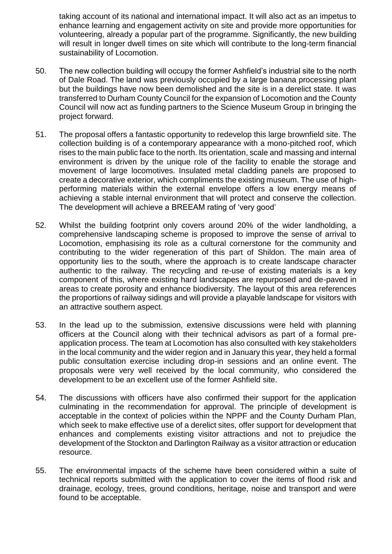taking account of its national and international impact. It will also act as an impetus to enhance learning and engagement activity on site and provide more opportunities for volunteering, already a popular part of the programme. Significantly, the new building will result in longer dwell times on site which will contribute to the long-term financial sustainability of Locomotion.

- 50. The new collection building will occupy the former Ashfield's industrial site to the north of Dale Road. The land was previously occupied by a large banana processing plant but the buildings have now been demolished and the site is in a derelict state. It was transferred to Durham County Council for the expansion of Locomotion and the County Council will now act as funding partners to the Science Museum Group in bringing the project forward.
- 51. The proposal offers a fantastic opportunity to redevelop this large brownfield site. The collection building is of a contemporary appearance with a mono-pitched roof, which rises to the main public face to the north. Its orientation, scale and massing and internal environment is driven by the unique role of the facility to enable the storage and movement of large locomotives. Insulated metal cladding panels are proposed to create a decorative exterior, which compliments the existing museum. The use of highperforming materials within the external envelope offers a low energy means of achieving a stable internal environment that will protect and conserve the collection. The development will achieve a BREEAM rating of 'very good'
- 52. Whilst the building footprint only covers around 20% of the wider landholding, a comprehensive landscaping scheme is proposed to improve the sense of arrival to Locomotion, emphasising its role as a cultural cornerstone for the community and contributing to the wider regeneration of this part of Shildon. The main area of opportunity lies to the south, where the approach is to create landscape character authentic to the railway. The recycling and re-use of existing materials is a key component of this, where existing hard landscapes are repurposed and de-paved in areas to create porosity and enhance biodiversity. The layout of this area references the proportions of railway sidings and will provide a playable landscape for visitors with an attractive southern aspect.
- 53. In the lead up to the submission, extensive discussions were held with planning officers at the Council along with their technical advisors as part of a formal preapplication process. The team at Locomotion has also consulted with key stakeholders in the local community and the wider region and in January this year, they held a formal public consultation exercise including drop-in sessions and an online event. The proposals were very well received by the local community, who considered the development to be an excellent use of the former Ashfield site.
- 54. The discussions with officers have also confirmed their support for the application culminating in the recommendation for approval. The principle of development is acceptable in the context of policies within the NPPF and the County Durham Plan, which seek to make effective use of a derelict sites, offer support for development that enhances and complements existing visitor attractions and not to prejudice the development of the Stockton and Darlington Railway as a visitor attraction or education resource.
- 55. The environmental impacts of the scheme have been considered within a suite of technical reports submitted with the application to cover the items of flood risk and drainage, ecology, trees, ground conditions, heritage, noise and transport and were found to be acceptable.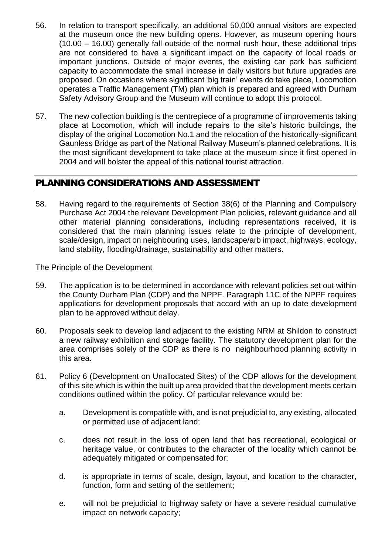- 56. In relation to transport specifically, an additional 50,000 annual visitors are expected at the museum once the new building opens. However, as museum opening hours (10.00 – 16.00) generally fall outside of the normal rush hour, these additional trips are not considered to have a significant impact on the capacity of local roads or important junctions. Outside of major events, the existing car park has sufficient capacity to accommodate the small increase in daily visitors but future upgrades are proposed. On occasions where significant 'big train' events do take place, Locomotion operates a Traffic Management (TM) plan which is prepared and agreed with Durham Safety Advisory Group and the Museum will continue to adopt this protocol.
- 57. The new collection building is the centrepiece of a programme of improvements taking place at Locomotion, which will include repairs to the site's historic buildings, the display of the original Locomotion No.1 and the relocation of the historically-significant Gaunless Bridge as part of the National Railway Museum's planned celebrations. It is the most significant development to take place at the museum since it first opened in 2004 and will bolster the appeal of this national tourist attraction.

# PLANNING CONSIDERATIONS AND ASSESSMENT

58. Having regard to the requirements of Section 38(6) of the Planning and Compulsory Purchase Act 2004 the relevant Development Plan policies, relevant guidance and all other material planning considerations, including representations received, it is considered that the main planning issues relate to the principle of development, scale/design, impact on neighbouring uses, landscape/arb impact, highways, ecology, land stability, flooding/drainage, sustainability and other matters.

The Principle of the Development

- 59. The application is to be determined in accordance with relevant policies set out within the County Durham Plan (CDP) and the NPPF. Paragraph 11C of the NPPF requires applications for development proposals that accord with an up to date development plan to be approved without delay.
- 60. Proposals seek to develop land adjacent to the existing NRM at Shildon to construct a new railway exhibition and storage facility. The statutory development plan for the area comprises solely of the CDP as there is no neighbourhood planning activity in this area.
- 61. Policy 6 (Development on Unallocated Sites) of the CDP allows for the development of this site which is within the built up area provided that the development meets certain conditions outlined within the policy. Of particular relevance would be:
	- a. Development is compatible with, and is not prejudicial to, any existing, allocated or permitted use of adjacent land;
	- c. does not result in the loss of open land that has recreational, ecological or heritage value, or contributes to the character of the locality which cannot be adequately mitigated or compensated for;
	- d. is appropriate in terms of scale, design, layout, and location to the character, function, form and setting of the settlement;
	- e. will not be prejudicial to highway safety or have a severe residual cumulative impact on network capacity;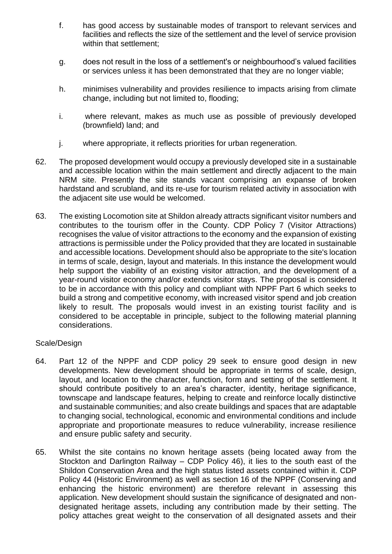- f. has good access by sustainable modes of transport to relevant services and facilities and reflects the size of the settlement and the level of service provision within that settlement;
- g. does not result in the loss of a settlement's or neighbourhood's valued facilities or services unless it has been demonstrated that they are no longer viable;
- h. minimises vulnerability and provides resilience to impacts arising from climate change, including but not limited to, flooding;
- i. where relevant, makes as much use as possible of previously developed (brownfield) land; and
- j. where appropriate, it reflects priorities for urban regeneration.
- 62. The proposed development would occupy a previously developed site in a sustainable and accessible location within the main settlement and directly adjacent to the main NRM site. Presently the site stands vacant comprising an expanse of broken hardstand and scrubland, and its re-use for tourism related activity in association with the adjacent site use would be welcomed.
- 63. The existing Locomotion site at Shildon already attracts significant visitor numbers and contributes to the tourism offer in the County. CDP Policy 7 (Visitor Attractions) recognises the value of visitor attractions to the economy and the expansion of existing attractions is permissible under the Policy provided that they are located in sustainable and accessible locations. Development should also be appropriate to the site's location in terms of scale, design, layout and materials. In this instance the development would help support the viability of an existing visitor attraction, and the development of a year-round visitor economy and/or extends visitor stays. The proposal is considered to be in accordance with this policy and compliant with NPPF Part 6 which seeks to build a strong and competitive economy, with increased visitor spend and job creation likely to result. The proposals would invest in an existing tourist facility and is considered to be acceptable in principle, subject to the following material planning considerations.

#### Scale/Design

- 64. Part 12 of the NPPF and CDP policy 29 seek to ensure good design in new developments. New development should be appropriate in terms of scale, design, layout, and location to the character, function, form and setting of the settlement. It should contribute positively to an area's character, identity, heritage significance, townscape and landscape features, helping to create and reinforce locally distinctive and sustainable communities; and also create buildings and spaces that are adaptable to changing social, technological, economic and environmental conditions and include appropriate and proportionate measures to reduce vulnerability, increase resilience and ensure public safety and security.
- 65. Whilst the site contains no known heritage assets (being located away from the Stockton and Darlington Railway – CDP Policy 46), it lies to the south east of the Shildon Conservation Area and the high status listed assets contained within it. CDP Policy 44 (Historic Environment) as well as section 16 of the NPPF (Conserving and enhancing the historic environment) are therefore relevant in assessing this application. New development should sustain the significance of designated and nondesignated heritage assets, including any contribution made by their setting. The policy attaches great weight to the conservation of all designated assets and their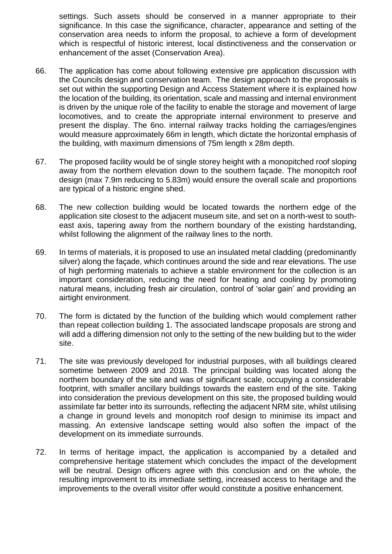settings. Such assets should be conserved in a manner appropriate to their significance. In this case the significance, character, appearance and setting of the conservation area needs to inform the proposal, to achieve a form of development which is respectful of historic interest, local distinctiveness and the conservation or enhancement of the asset (Conservation Area).

- 66. The application has come about following extensive pre application discussion with the Councils design and conservation team. The design approach to the proposals is set out within the supporting Design and Access Statement where it is explained how the location of the building, its orientation, scale and massing and internal environment is driven by the unique role of the facility to enable the storage and movement of large locomotives, and to create the appropriate internal environment to preserve and present the display. The 6no. internal railway tracks holding the carriages/engines would measure approximately 66m in length, which dictate the horizontal emphasis of the building, with maximum dimensions of 75m length x 28m depth.
- 67. The proposed facility would be of single storey height with a monopitched roof sloping away from the northern elevation down to the southern façade. The monopitch roof design (max 7.9m reducing to 5.83m) would ensure the overall scale and proportions are typical of a historic engine shed.
- 68. The new collection building would be located towards the northern edge of the application site closest to the adjacent museum site, and set on a north-west to southeast axis, tapering away from the northern boundary of the existing hardstanding, whilst following the alignment of the railway lines to the north.
- 69. In terms of materials, it is proposed to use an insulated metal cladding (predominantly silver) along the façade, which continues around the side and rear elevations. The use of high performing materials to achieve a stable environment for the collection is an important consideration, reducing the need for heating and cooling by promoting natural means, including fresh air circulation, control of 'solar gain' and providing an airtight environment.
- 70. The form is dictated by the function of the building which would complement rather than repeat collection building 1. The associated landscape proposals are strong and will add a differing dimension not only to the setting of the new building but to the wider site.
- 71. The site was previously developed for industrial purposes, with all buildings cleared sometime between 2009 and 2018. The principal building was located along the northern boundary of the site and was of significant scale, occupying a considerable footprint, with smaller ancillary buildings towards the eastern end of the site. Taking into consideration the previous development on this site, the proposed building would assimilate far better into its surrounds, reflecting the adjacent NRM site, whilst utilising a change in ground levels and monopitch roof design to minimise its impact and massing. An extensive landscape setting would also soften the impact of the development on its immediate surrounds.
- 72. In terms of heritage impact, the application is accompanied by a detailed and comprehensive heritage statement which concludes the impact of the development will be neutral. Design officers agree with this conclusion and on the whole, the resulting improvement to its immediate setting, increased access to heritage and the improvements to the overall visitor offer would constitute a positive enhancement.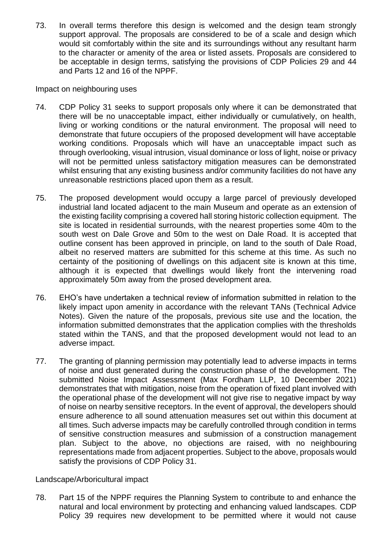73. In overall terms therefore this design is welcomed and the design team strongly support approval. The proposals are considered to be of a scale and design which would sit comfortably within the site and its surroundings without any resultant harm to the character or amenity of the area or listed assets. Proposals are considered to be acceptable in design terms, satisfying the provisions of CDP Policies 29 and 44 and Parts 12 and 16 of the NPPF.

Impact on neighbouring uses

- 74. CDP Policy 31 seeks to support proposals only where it can be demonstrated that there will be no unacceptable impact, either individually or cumulatively, on health, living or working conditions or the natural environment. The proposal will need to demonstrate that future occupiers of the proposed development will have acceptable working conditions. Proposals which will have an unacceptable impact such as through overlooking, visual intrusion, visual dominance or loss of light, noise or privacy will not be permitted unless satisfactory mitigation measures can be demonstrated whilst ensuring that any existing business and/or community facilities do not have any unreasonable restrictions placed upon them as a result.
- 75. The proposed development would occupy a large parcel of previously developed industrial land located adjacent to the main Museum and operate as an extension of the existing facility comprising a covered hall storing historic collection equipment. The site is located in residential surrounds, with the nearest properties some 40m to the south west on Dale Grove and 50m to the west on Dale Road. It is accepted that outline consent has been approved in principle, on land to the south of Dale Road, albeit no reserved matters are submitted for this scheme at this time. As such no certainty of the positioning of dwellings on this adjacent site is known at this time, although it is expected that dwellings would likely front the intervening road approximately 50m away from the prosed development area.
- 76. EHO's have undertaken a technical review of information submitted in relation to the likely impact upon amenity in accordance with the relevant TANs (Technical Advice Notes). Given the nature of the proposals, previous site use and the location, the information submitted demonstrates that the application complies with the thresholds stated within the TANS, and that the proposed development would not lead to an adverse impact.
- 77. The granting of planning permission may potentially lead to adverse impacts in terms of noise and dust generated during the construction phase of the development. The submitted Noise Impact Assessment (Max Fordham LLP, 10 December 2021) demonstrates that with mitigation, noise from the operation of fixed plant involved with the operational phase of the development will not give rise to negative impact by way of noise on nearby sensitive receptors. In the event of approval, the developers should ensure adherence to all sound attenuation measures set out within this document at all times. Such adverse impacts may be carefully controlled through condition in terms of sensitive construction measures and submission of a construction management plan. Subject to the above, no objections are raised, with no neighbouring representations made from adjacent properties. Subject to the above, proposals would satisfy the provisions of CDP Policy 31.

#### Landscape/Arboricultural impact

78. Part 15 of the NPPF requires the Planning System to contribute to and enhance the natural and local environment by protecting and enhancing valued landscapes. CDP Policy 39 requires new development to be permitted where it would not cause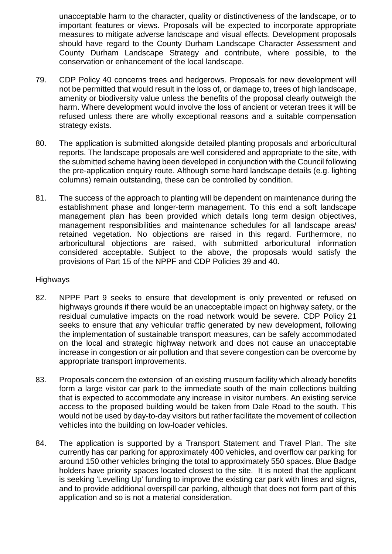unacceptable harm to the character, quality or distinctiveness of the landscape, or to important features or views. Proposals will be expected to incorporate appropriate measures to mitigate adverse landscape and visual effects. Development proposals should have regard to the County Durham Landscape Character Assessment and County Durham Landscape Strategy and contribute, where possible, to the conservation or enhancement of the local landscape.

- 79. CDP Policy 40 concerns trees and hedgerows. Proposals for new development will not be permitted that would result in the loss of, or damage to, trees of high landscape, amenity or biodiversity value unless the benefits of the proposal clearly outweigh the harm. Where development would involve the loss of ancient or veteran trees it will be refused unless there are wholly exceptional reasons and a suitable compensation strategy exists.
- 80. The application is submitted alongside detailed planting proposals and arboricultural reports. The landscape proposals are well considered and appropriate to the site, with the submitted scheme having been developed in conjunction with the Council following the pre-application enquiry route. Although some hard landscape details (e.g. lighting columns) remain outstanding, these can be controlled by condition.
- 81. The success of the approach to planting will be dependent on maintenance during the establishment phase and longer-term management. To this end a soft landscape management plan has been provided which details long term design objectives, management responsibilities and maintenance schedules for all landscape areas/ retained vegetation. No objections are raised in this regard. Furthermore, no arboricultural objections are raised, with submitted arboricultural information considered acceptable. Subject to the above, the proposals would satisfy the provisions of Part 15 of the NPPF and CDP Policies 39 and 40.

#### Highways

- 82. NPPF Part 9 seeks to ensure that development is only prevented or refused on highways grounds if there would be an unacceptable impact on highway safety, or the residual cumulative impacts on the road network would be severe. CDP Policy 21 seeks to ensure that any vehicular traffic generated by new development, following the implementation of sustainable transport measures, can be safely accommodated on the local and strategic highway network and does not cause an unacceptable increase in congestion or air pollution and that severe congestion can be overcome by appropriate transport improvements.
- 83. Proposals concern the extension of an existing museum facility which already benefits form a large visitor car park to the immediate south of the main collections building that is expected to accommodate any increase in visitor numbers. An existing service access to the proposed building would be taken from Dale Road to the south. This would not be used by day-to-day visitors but rather facilitate the movement of collection vehicles into the building on low-loader vehicles.
- 84. The application is supported by a Transport Statement and Travel Plan. The site currently has car parking for approximately 400 vehicles, and overflow car parking for around 150 other vehicles bringing the total to approximately 550 spaces. Blue Badge holders have priority spaces located closest to the site. It is noted that the applicant is seeking 'Levelling Up' funding to improve the existing car park with lines and signs, and to provide additional overspill car parking, although that does not form part of this application and so is not a material consideration.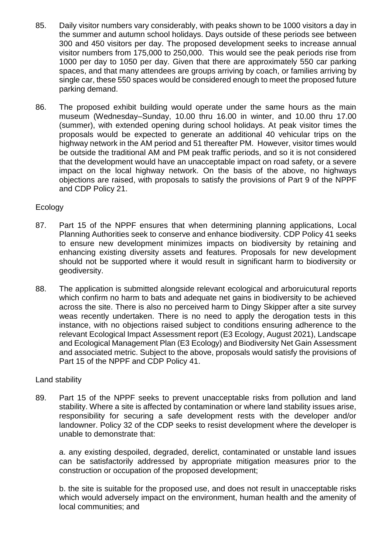- 85. Daily visitor numbers vary considerably, with peaks shown to be 1000 visitors a day in the summer and autumn school holidays. Days outside of these periods see between 300 and 450 visitors per day. The proposed development seeks to increase annual visitor numbers from 175,000 to 250,000. This would see the peak periods rise from 1000 per day to 1050 per day. Given that there are approximately 550 car parking spaces, and that many attendees are groups arriving by coach, or families arriving by single car, these 550 spaces would be considered enough to meet the proposed future parking demand.
- 86. The proposed exhibit building would operate under the same hours as the main museum (Wednesday–Sunday, 10.00 thru 16.00 in winter, and 10.00 thru 17.00 (summer), with extended opening during school holidays. At peak visitor times the proposals would be expected to generate an additional 40 vehicular trips on the highway network in the AM period and 51 thereafter PM. However, visitor times would be outside the traditional AM and PM peak traffic periods, and so it is not considered that the development would have an unacceptable impact on road safety, or a severe impact on the local highway network. On the basis of the above, no highways objections are raised, with proposals to satisfy the provisions of Part 9 of the NPPF and CDP Policy 21.

#### **Ecology**

- 87. Part 15 of the NPPF ensures that when determining planning applications, Local Planning Authorities seek to conserve and enhance biodiversity. CDP Policy 41 seeks to ensure new development minimizes impacts on biodiversity by retaining and enhancing existing diversity assets and features. Proposals for new development should not be supported where it would result in significant harm to biodiversity or geodiversity.
- 88. The application is submitted alongside relevant ecological and arboruicutural reports which confirm no harm to bats and adequate net gains in biodiversity to be achieved across the site. There is also no perceived harm to Dingy Skipper after a site survey weas recently undertaken. There is no need to apply the derogation tests in this instance, with no objections raised subject to conditions ensuring adherence to the relevant Ecological Impact Assessment report (E3 Ecology, August 2021), Landscape and Ecological Management Plan (E3 Ecology) and Biodiversity Net Gain Assessment and associated metric. Subject to the above, proposals would satisfy the provisions of Part 15 of the NPPF and CDP Policy 41.

#### Land stability

89. Part 15 of the NPPF seeks to prevent unacceptable risks from pollution and land stability. Where a site is affected by contamination or where land stability issues arise, responsibility for securing a safe development rests with the developer and/or landowner. Policy 32 of the CDP seeks to resist development where the developer is unable to demonstrate that:

a. any existing despoiled, degraded, derelict, contaminated or unstable land issues can be satisfactorily addressed by appropriate mitigation measures prior to the construction or occupation of the proposed development;

b. the site is suitable for the proposed use, and does not result in unacceptable risks which would adversely impact on the environment, human health and the amenity of local communities; and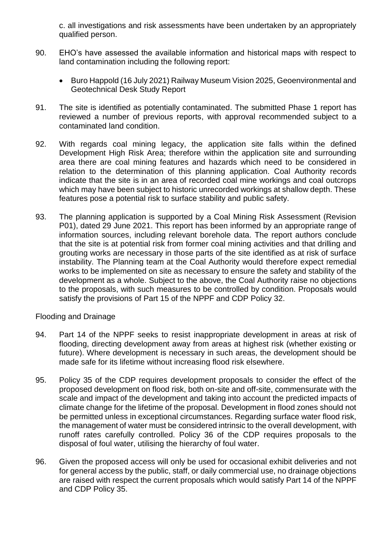c. all investigations and risk assessments have been undertaken by an appropriately qualified person.

- 90. EHO's have assessed the available information and historical maps with respect to land contamination including the following report:
	- Buro Happold (16 July 2021) Railway Museum Vision 2025, Geoenvironmental and Geotechnical Desk Study Report
- 91. The site is identified as potentially contaminated. The submitted Phase 1 report has reviewed a number of previous reports, with approval recommended subject to a contaminated land condition.
- 92. With regards coal mining legacy, the application site falls within the defined Development High Risk Area; therefore within the application site and surrounding area there are coal mining features and hazards which need to be considered in relation to the determination of this planning application. Coal Authority records indicate that the site is in an area of recorded coal mine workings and coal outcrops which may have been subject to historic unrecorded workings at shallow depth. These features pose a potential risk to surface stability and public safety.
- 93. The planning application is supported by a Coal Mining Risk Assessment (Revision P01), dated 29 June 2021. This report has been informed by an appropriate range of information sources, including relevant borehole data. The report authors conclude that the site is at potential risk from former coal mining activities and that drilling and grouting works are necessary in those parts of the site identified as at risk of surface instability. The Planning team at the Coal Authority would therefore expect remedial works to be implemented on site as necessary to ensure the safety and stability of the development as a whole. Subject to the above, the Coal Authority raise no objections to the proposals, with such measures to be controlled by condition. Proposals would satisfy the provisions of Part 15 of the NPPF and CDP Policy 32.

#### Flooding and Drainage

- 94. Part 14 of the NPPF seeks to resist inappropriate development in areas at risk of flooding, directing development away from areas at highest risk (whether existing or future). Where development is necessary in such areas, the development should be made safe for its lifetime without increasing flood risk elsewhere.
- 95. Policy 35 of the CDP requires development proposals to consider the effect of the proposed development on flood risk, both on-site and off-site, commensurate with the scale and impact of the development and taking into account the predicted impacts of climate change for the lifetime of the proposal. Development in flood zones should not be permitted unless in exceptional circumstances. Regarding surface water flood risk, the management of water must be considered intrinsic to the overall development, with runoff rates carefully controlled. Policy 36 of the CDP requires proposals to the disposal of foul water, utilising the hierarchy of foul water.
- 96. Given the proposed access will only be used for occasional exhibit deliveries and not for general access by the public, staff, or daily commercial use, no drainage objections are raised with respect the current proposals which would satisfy Part 14 of the NPPF and CDP Policy 35.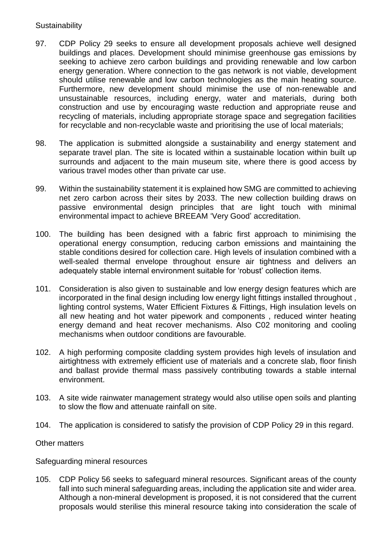#### **Sustainability**

- 97. CDP Policy 29 seeks to ensure all development proposals achieve well designed buildings and places. Development should minimise greenhouse gas emissions by seeking to achieve zero carbon buildings and providing renewable and low carbon energy generation. Where connection to the gas network is not viable, development should utilise renewable and low carbon technologies as the main heating source. Furthermore, new development should minimise the use of non-renewable and unsustainable resources, including energy, water and materials, during both construction and use by encouraging waste reduction and appropriate reuse and recycling of materials, including appropriate storage space and segregation facilities for recyclable and non-recyclable waste and prioritising the use of local materials;
- 98. The application is submitted alongside a sustainability and energy statement and separate travel plan. The site is located within a sustainable location within built up surrounds and adjacent to the main museum site, where there is good access by various travel modes other than private car use.
- 99. Within the sustainability statement it is explained how SMG are committed to achieving net zero carbon across their sites by 2033. The new collection building draws on passive environmental design principles that are light touch with minimal environmental impact to achieve BREEAM 'Very Good' accreditation.
- 100. The building has been designed with a fabric first approach to minimising the operational energy consumption, reducing carbon emissions and maintaining the stable conditions desired for collection care. High levels of insulation combined with a well-sealed thermal envelope throughout ensure air tightness and delivers an adequately stable internal environment suitable for 'robust' collection items.
- 101. Consideration is also given to sustainable and low energy design features which are incorporated in the final design including low energy light fittings installed throughout , lighting control systems, Water Efficient Fixtures & Fittings, High insulation levels on all new heating and hot water pipework and components , reduced winter heating energy demand and heat recover mechanisms. Also C02 monitoring and cooling mechanisms when outdoor conditions are favourable.
- 102. A high performing composite cladding system provides high levels of insulation and airtightness with extremely efficient use of materials and a concrete slab, floor finish and ballast provide thermal mass passively contributing towards a stable internal environment.
- 103. A site wide rainwater management strategy would also utilise open soils and planting to slow the flow and attenuate rainfall on site.
- 104. The application is considered to satisfy the provision of CDP Policy 29 in this regard.

#### Other matters

Safeguarding mineral resources

105. CDP Policy 56 seeks to safeguard mineral resources. Significant areas of the county fall into such mineral safeguarding areas, including the application site and wider area. Although a non-mineral development is proposed, it is not considered that the current proposals would sterilise this mineral resource taking into consideration the scale of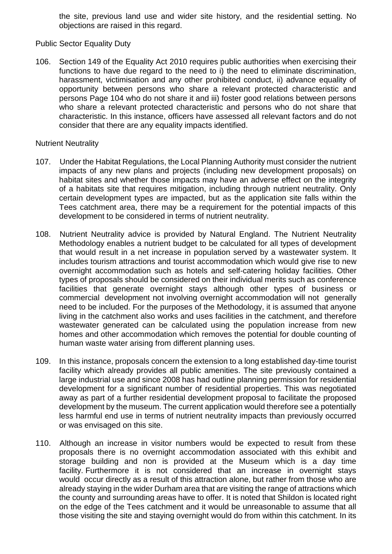the site, previous land use and wider site history, and the residential setting. No objections are raised in this regard.

Public Sector Equality Duty

106. Section 149 of the Equality Act 2010 requires public authorities when exercising their functions to have due regard to the need to i) the need to eliminate discrimination, harassment, victimisation and any other prohibited conduct, ii) advance equality of opportunity between persons who share a relevant protected characteristic and persons Page 104 who do not share it and iii) foster good relations between persons who share a relevant protected characteristic and persons who do not share that characteristic. In this instance, officers have assessed all relevant factors and do not consider that there are any equality impacts identified.

#### Nutrient Neutrality

- 107. Under the Habitat Regulations, the Local Planning Authority must consider the nutrient impacts of any new plans and projects (including new development proposals) on habitat sites and whether those impacts may have an adverse effect on the integrity of a habitats site that requires mitigation, including through nutrient neutrality. Only certain development types are impacted, but as the application site falls within the Tees catchment area, there may be a requirement for the potential impacts of this development to be considered in terms of nutrient neutrality.
- 108. Nutrient Neutrality advice is provided by Natural England. The Nutrient Neutrality Methodology enables a nutrient budget to be calculated for all types of development that would result in a net increase in population served by a wastewater system. It includes tourism attractions and tourist accommodation which would give rise to new overnight accommodation such as hotels and self-catering holiday facilities. Other types of proposals should be considered on their individual merits such as conference facilities that generate overnight stays although other types of business or commercial development not involving overnight accommodation will not generally need to be included. For the purposes of the Methodology, it is assumed that anyone living in the catchment also works and uses facilities in the catchment, and therefore wastewater generated can be calculated using the population increase from new homes and other accommodation which removes the potential for double counting of human waste water arising from different planning uses.
- 109. In this instance, proposals concern the extension to a long established day-time tourist facility which already provides all public amenities. The site previously contained a large industrial use and since 2008 has had outline planning permission for residential development for a significant number of residential properties. This was negotiated away as part of a further residential development proposal to facilitate the proposed development by the museum. The current application would therefore see a potentially less harmful end use in terms of nutrient neutrality impacts than previously occurred or was envisaged on this site.
- 110. Although an increase in visitor numbers would be expected to result from these proposals there is no overnight accommodation associated with this exhibit and storage building and non is provided at the Museum which is a day time facility. Furthermore it is not considered that an increase in overnight stays would occur directly as a result of this attraction alone, but rather from those who are already staying in the wider Durham area that are visiting the range of attractions which the county and surrounding areas have to offer. It is noted that Shildon is located right on the edge of the Tees catchment and it would be unreasonable to assume that all those visiting the site and staying overnight would do from within this catchment. In its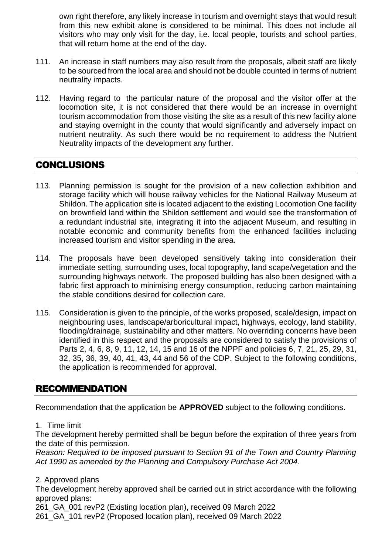own right therefore, any likely increase in tourism and overnight stays that would result from this new exhibit alone is considered to be minimal. This does not include all visitors who may only visit for the day, i.e. local people, tourists and school parties, that will return home at the end of the day.

- 111. An increase in staff numbers may also result from the proposals, albeit staff are likely to be sourced from the local area and should not be double counted in terms of nutrient neutrality impacts.
- 112. Having regard to the particular nature of the proposal and the visitor offer at the locomotion site, it is not considered that there would be an increase in overnight tourism accommodation from those visiting the site as a result of this new facility alone and staying overnight in the county that would significantly and adversely impact on nutrient neutrality. As such there would be no requirement to address the Nutrient Neutrality impacts of the development any further.

# **CONCLUSIONS**

- 113. Planning permission is sought for the provision of a new collection exhibition and storage facility which will house railway vehicles for the National Railway Museum at Shildon. The application site is located adjacent to the existing Locomotion One facility on brownfield land within the Shildon settlement and would see the transformation of a redundant industrial site, integrating it into the adjacent Museum, and resulting in notable economic and community benefits from the enhanced facilities including increased tourism and visitor spending in the area.
- 114. The proposals have been developed sensitively taking into consideration their immediate setting, surrounding uses, local topography, land scape/vegetation and the surrounding highways network. The proposed building has also been designed with a fabric first approach to minimising energy consumption, reducing carbon maintaining the stable conditions desired for collection care.
- 115. Consideration is given to the principle, of the works proposed, scale/design, impact on neighbouring uses, landscape/arboricultural impact, highways, ecology, land stability, flooding/drainage, sustainability and other matters. No overriding concerns have been identified in this respect and the proposals are considered to satisfy the provisions of Parts 2, 4, 6, 8, 9, 11, 12, 14, 15 and 16 of the NPPF and policies 6, 7, 21, 25, 29, 31, 32, 35, 36, 39, 40, 41, 43, 44 and 56 of the CDP. Subject to the following conditions, the application is recommended for approval.

# RECOMMENDATION

Recommendation that the application be **APPROVED** subject to the following conditions.

#### 1. Time limit

The development hereby permitted shall be begun before the expiration of three years from the date of this permission.

*Reason: Required to be imposed pursuant to Section 91 of the Town and Country Planning Act 1990 as amended by the Planning and Compulsory Purchase Act 2004.*

2. Approved plans

The development hereby approved shall be carried out in strict accordance with the following approved plans:

261\_GA\_001 revP2 (Existing location plan), received 09 March 2022

261\_GA\_101 revP2 (Proposed location plan), received 09 March 2022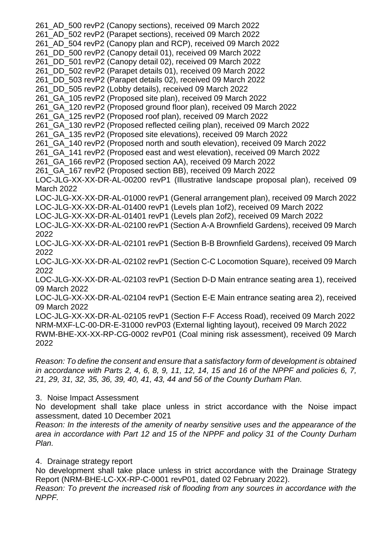261\_AD\_500 revP2 (Canopy sections), received 09 March 2022 261\_AD\_502 revP2 (Parapet sections), received 09 March 2022 261\_AD\_504 revP2 (Canopy plan and RCP), received 09 March 2022 261\_DD\_500 revP2 (Canopy detail 01), received 09 March 2022 261\_DD\_501 revP2 (Canopy detail 02), received 09 March 2022 261\_DD\_502 revP2 (Parapet details 01), received 09 March 2022 261\_DD\_503 revP2 (Parapet details 02), received 09 March 2022 261\_DD\_505 revP2 (Lobby details), received 09 March 2022 261\_GA\_105 revP2 (Proposed site plan), received 09 March 2022 261\_GA\_120 revP2 (Proposed ground floor plan), received 09 March 2022 261\_GA\_125 revP2 (Proposed roof plan), received 09 March 2022 261\_GA\_130 revP2 (Proposed reflected ceiling plan), received 09 March 2022 261\_GA\_135 revP2 (Proposed site elevations), received 09 March 2022 261\_GA\_140 revP2 (Proposed north and south elevation), received 09 March 2022 261\_GA\_141 revP2 (Proposed east and west elevation), received 09 March 2022 261\_GA\_166 revP2 (Proposed section AA), received 09 March 2022 261\_GA\_167 revP2 (Proposed section BB), received 09 March 2022 LOC-JLG-XX-XX-DR-AL-00200 revP1 (Illustrative landscape proposal plan), received 09 March 2022 LOC-JLG-XX-XX-DR-AL-01000 revP1 (General arrangement plan), received 09 March 2022 LOC-JLG-XX-XX-DR-AL-01400 revP1 (Levels plan 1of2), received 09 March 2022 LOC-JLG-XX-XX-DR-AL-01401 revP1 (Levels plan 2of2), received 09 March 2022 LOC-JLG-XX-XX-DR-AL-02100 revP1 (Section A-A Brownfield Gardens), received 09 March 2022 LOC-JLG-XX-XX-DR-AL-02101 revP1 (Section B-B Brownfield Gardens), received 09 March 2022 LOC-JLG-XX-XX-DR-AL-02102 revP1 (Section C-C Locomotion Square), received 09 March 2022 LOC-JLG-XX-XX-DR-AL-02103 revP1 (Section D-D Main entrance seating area 1), received 09 March 2022 LOC-JLG-XX-XX-DR-AL-02104 revP1 (Section E-E Main entrance seating area 2), received 09 March 2022 LOC-JLG-XX-XX-DR-AL-02105 revP1 (Section F-F Access Road), received 09 March 2022 NRM-MXF-LC-00-DR-E-31000 revP03 (External lighting layout), received 09 March 2022 RWM-BHE-XX-XX-RP-CG-0002 revP01 (Coal mining risk assessment), received 09 March 2022

*Reason: To define the consent and ensure that a satisfactory form of development is obtained in accordance with Parts 2, 4, 6, 8, 9, 11, 12, 14, 15 and 16 of the NPPF and policies 6, 7, 21, 29, 31, 32, 35, 36, 39, 40, 41, 43, 44 and 56 of the County Durham Plan.*

#### 3. Noise Impact Assessment

No development shall take place unless in strict accordance with the Noise impact assessment, dated 10 December 2021

*Reason: In the interests of the amenity of nearby sensitive uses and the appearance of the area in accordance with Part 12 and 15 of the NPPF and policy 31 of the County Durham Plan.*

#### 4. Drainage strategy report

No development shall take place unless in strict accordance with the Drainage Strategy Report (NRM-BHE-LC-XX-RP-C-0001 revP01, dated 02 February 2022).

*Reason: To prevent the increased risk of flooding from any sources in accordance with the NPPF.*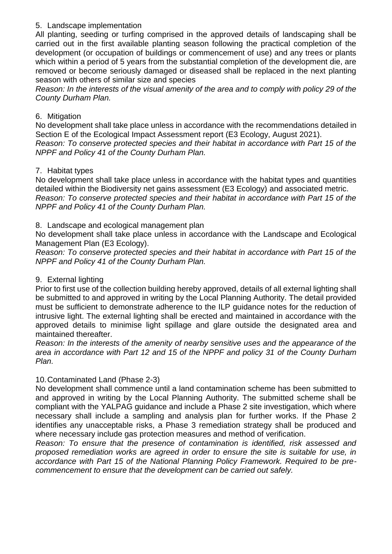#### 5. Landscape implementation

All planting, seeding or turfing comprised in the approved details of landscaping shall be carried out in the first available planting season following the practical completion of the development (or occupation of buildings or commencement of use) and any trees or plants which within a period of 5 years from the substantial completion of the development die, are removed or become seriously damaged or diseased shall be replaced in the next planting season with others of similar size and species

*Reason: In the interests of the visual amenity of the area and to comply with policy 29 of the County Durham Plan.*

#### 6. Mitigation

No development shall take place unless in accordance with the recommendations detailed in Section E of the Ecological Impact Assessment report (E3 Ecology, August 2021).

*Reason: To conserve protected species and their habitat in accordance with Part 15 of the NPPF and Policy 41 of the County Durham Plan.*

#### 7. Habitat types

No development shall take place unless in accordance with the habitat types and quantities detailed within the Biodiversity net gains assessment (E3 Ecology) and associated metric. *Reason: To conserve protected species and their habitat in accordance with Part 15 of the NPPF and Policy 41 of the County Durham Plan.*

#### 8. Landscape and ecological management plan

No development shall take place unless in accordance with the Landscape and Ecological Management Plan (E3 Ecology).

*Reason: To conserve protected species and their habitat in accordance with Part 15 of the NPPF and Policy 41 of the County Durham Plan.*

#### 9. External lighting

Prior to first use of the collection building hereby approved, details of all external lighting shall be submitted to and approved in writing by the Local Planning Authority. The detail provided must be sufficient to demonstrate adherence to the ILP guidance notes for the reduction of intrusive light. The external lighting shall be erected and maintained in accordance with the approved details to minimise light spillage and glare outside the designated area and maintained thereafter.

*Reason: In the interests of the amenity of nearby sensitive uses and the appearance of the area in accordance with Part 12 and 15 of the NPPF and policy 31 of the County Durham Plan.*

#### 10.Contaminated Land (Phase 2-3)

No development shall commence until a land contamination scheme has been submitted to and approved in writing by the Local Planning Authority. The submitted scheme shall be compliant with the YALPAG guidance and include a Phase 2 site investigation, which where necessary shall include a sampling and analysis plan for further works. If the Phase 2 identifies any unacceptable risks, a Phase 3 remediation strategy shall be produced and where necessary include gas protection measures and method of verification.

*Reason: To ensure that the presence of contamination is identified, risk assessed and proposed remediation works are agreed in order to ensure the site is suitable for use, in accordance with Part 15 of the National Planning Policy Framework. Required to be precommencement to ensure that the development can be carried out safely.*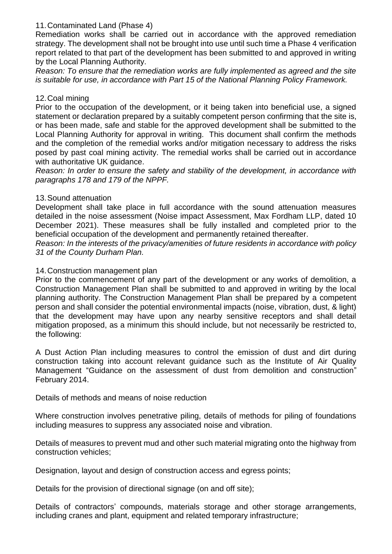#### 11.Contaminated Land (Phase 4)

Remediation works shall be carried out in accordance with the approved remediation strategy. The development shall not be brought into use until such time a Phase 4 verification report related to that part of the development has been submitted to and approved in writing by the Local Planning Authority.

*Reason: To ensure that the remediation works are fully implemented as agreed and the site is suitable for use, in accordance with Part 15 of the National Planning Policy Framework.*

#### 12.Coal mining

Prior to the occupation of the development, or it being taken into beneficial use, a signed statement or declaration prepared by a suitably competent person confirming that the site is, or has been made, safe and stable for the approved development shall be submitted to the Local Planning Authority for approval in writing. This document shall confirm the methods and the completion of the remedial works and/or mitigation necessary to address the risks posed by past coal mining activity. The remedial works shall be carried out in accordance with authoritative UK guidance.

*Reason: In order to ensure the safety and stability of the development, in accordance with paragraphs 178 and 179 of the NPPF.*

#### 13.Sound attenuation

Development shall take place in full accordance with the sound attenuation measures detailed in the noise assessment (Noise impact Assessment, Max Fordham LLP, dated 10 December 2021). These measures shall be fully installed and completed prior to the beneficial occupation of the development and permanently retained thereafter.

*Reason: In the interests of the privacy/amenities of future residents in accordance with policy 31 of the County Durham Plan.*

#### 14.Construction management plan

Prior to the commencement of any part of the development or any works of demolition, a Construction Management Plan shall be submitted to and approved in writing by the local planning authority. The Construction Management Plan shall be prepared by a competent person and shall consider the potential environmental impacts (noise, vibration, dust, & light) that the development may have upon any nearby sensitive receptors and shall detail mitigation proposed, as a minimum this should include, but not necessarily be restricted to, the following:

A Dust Action Plan including measures to control the emission of dust and dirt during construction taking into account relevant guidance such as the Institute of Air Quality Management "Guidance on the assessment of dust from demolition and construction" February 2014.

Details of methods and means of noise reduction

Where construction involves penetrative piling, details of methods for piling of foundations including measures to suppress any associated noise and vibration.

Details of measures to prevent mud and other such material migrating onto the highway from construction vehicles;

Designation, layout and design of construction access and egress points;

Details for the provision of directional signage (on and off site);

Details of contractors' compounds, materials storage and other storage arrangements, including cranes and plant, equipment and related temporary infrastructure;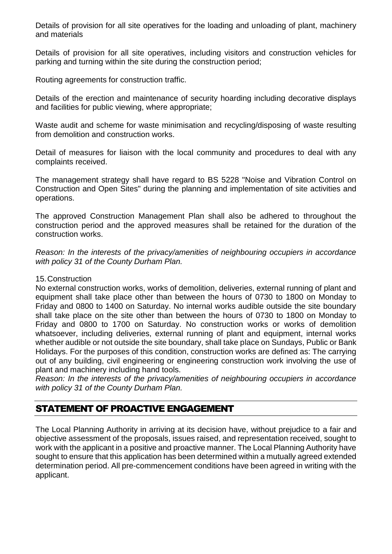Details of provision for all site operatives for the loading and unloading of plant, machinery and materials

Details of provision for all site operatives, including visitors and construction vehicles for parking and turning within the site during the construction period;

Routing agreements for construction traffic.

Details of the erection and maintenance of security hoarding including decorative displays and facilities for public viewing, where appropriate;

Waste audit and scheme for waste minimisation and recycling/disposing of waste resulting from demolition and construction works.

Detail of measures for liaison with the local community and procedures to deal with any complaints received.

The management strategy shall have regard to BS 5228 "Noise and Vibration Control on Construction and Open Sites" during the planning and implementation of site activities and operations.

The approved Construction Management Plan shall also be adhered to throughout the construction period and the approved measures shall be retained for the duration of the construction works.

*Reason: In the interests of the privacy/amenities of neighbouring occupiers in accordance with policy 31 of the County Durham Plan.*

#### 15.Construction

No external construction works, works of demolition, deliveries, external running of plant and equipment shall take place other than between the hours of 0730 to 1800 on Monday to Friday and 0800 to 1400 on Saturday. No internal works audible outside the site boundary shall take place on the site other than between the hours of 0730 to 1800 on Monday to Friday and 0800 to 1700 on Saturday. No construction works or works of demolition whatsoever, including deliveries, external running of plant and equipment, internal works whether audible or not outside the site boundary, shall take place on Sundays, Public or Bank Holidays. For the purposes of this condition, construction works are defined as: The carrying out of any building, civil engineering or engineering construction work involving the use of plant and machinery including hand tools.

*Reason: In the interests of the privacy/amenities of neighbouring occupiers in accordance with policy 31 of the County Durham Plan.*

# STATEMENT OF PROACTIVE ENGAGEMENT

The Local Planning Authority in arriving at its decision have, without prejudice to a fair and objective assessment of the proposals, issues raised, and representation received, sought to work with the applicant in a positive and proactive manner. The Local Planning Authority have sought to ensure that this application has been determined within a mutually agreed extended determination period. All pre-commencement conditions have been agreed in writing with the applicant.